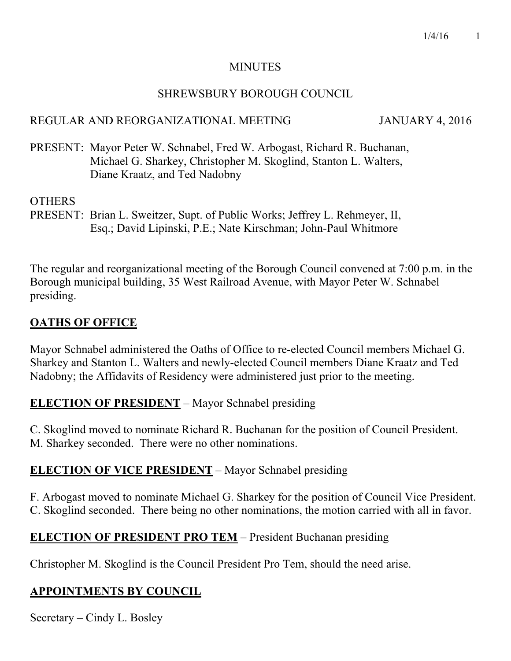### MINUTES

### SHREWSBURY BOROUGH COUNCIL

# REGULAR AND REORGANIZATIONAL MEETING JANUARY 4, 2016

PRESENT: Mayor Peter W. Schnabel, Fred W. Arbogast, Richard R. Buchanan, Michael G. Sharkey, Christopher M. Skoglind, Stanton L. Walters, Diane Kraatz, and Ted Nadobny

# **OTHERS**

PRESENT: Brian L. Sweitzer, Supt. of Public Works; Jeffrey L. Rehmeyer, II, Esq.; David Lipinski, P.E.; Nate Kirschman; John-Paul Whitmore

The regular and reorganizational meeting of the Borough Council convened at 7:00 p.m. in the Borough municipal building, 35 West Railroad Avenue, with Mayor Peter W. Schnabel presiding.

# **OATHS OF OFFICE**

Mayor Schnabel administered the Oaths of Office to re-elected Council members Michael G. Sharkey and Stanton L. Walters and newly-elected Council members Diane Kraatz and Ted Nadobny; the Affidavits of Residency were administered just prior to the meeting.

# **ELECTION OF PRESIDENT** – Mayor Schnabel presiding

C. Skoglind moved to nominate Richard R. Buchanan for the position of Council President. M. Sharkey seconded. There were no other nominations.

# **ELECTION OF VICE PRESIDENT** – Mayor Schnabel presiding

F. Arbogast moved to nominate Michael G. Sharkey for the position of Council Vice President. C. Skoglind seconded. There being no other nominations, the motion carried with all in favor.

# **ELECTION OF PRESIDENT PRO TEM** – President Buchanan presiding

Christopher M. Skoglind is the Council President Pro Tem, should the need arise.

# **APPOINTMENTS BY COUNCIL**

Secretary – Cindy L. Bosley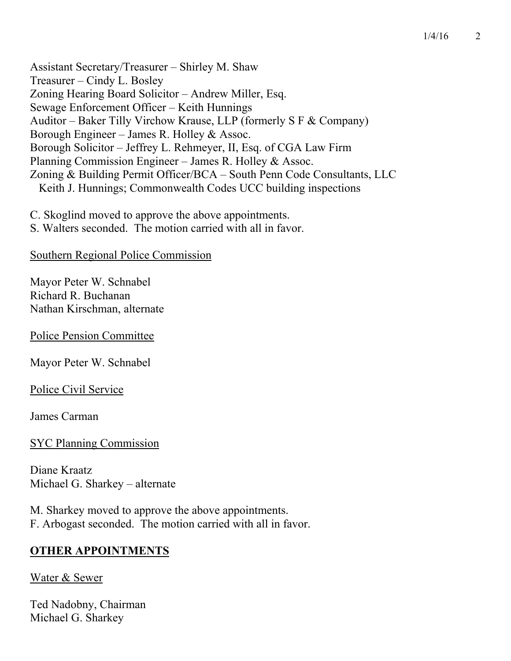Assistant Secretary/Treasurer – Shirley M. Shaw Treasurer – Cindy L. Bosley Zoning Hearing Board Solicitor – Andrew Miller, Esq. Sewage Enforcement Officer – Keith Hunnings Auditor – Baker Tilly Virchow Krause, LLP (formerly S F & Company) Borough Engineer – James R. Holley & Assoc. Borough Solicitor – Jeffrey L. Rehmeyer, II, Esq. of CGA Law Firm Planning Commission Engineer – James R. Holley & Assoc. Zoning & Building Permit Officer/BCA – South Penn Code Consultants, LLC Keith J. Hunnings; Commonwealth Codes UCC building inspections

C. Skoglind moved to approve the above appointments.

S. Walters seconded. The motion carried with all in favor.

### Southern Regional Police Commission

Mayor Peter W. Schnabel Richard R. Buchanan Nathan Kirschman, alternate

Police Pension Committee

Mayor Peter W. Schnabel

Police Civil Service

James Carman

### SYC Planning Commission

Diane Kraatz Michael G. Sharkey – alternate

M. Sharkey moved to approve the above appointments. F. Arbogast seconded. The motion carried with all in favor.

# **OTHER APPOINTMENTS**

### Water & Sewer

Ted Nadobny, Chairman Michael G. Sharkey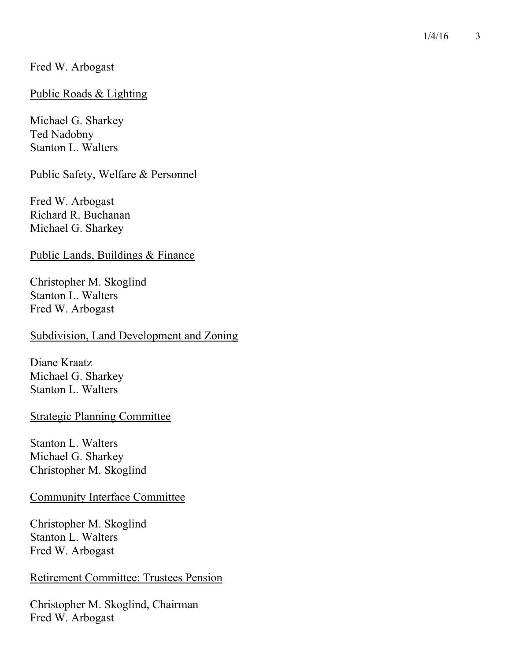### Fred W. Arbogast

#### Public Roads & Lighting

Michael G. Sharkey Ted Nadobny Stanton L. Walters

Public Safety, Welfare & Personnel

Fred W. Arbogast Richard R. Buchanan Michael G. Sharkey

Public Lands, Buildings & Finance

Christopher M. Skoglind Stanton L. Walters Fred W. Arbogast

#### Subdivision, Land Development and Zoning

Diane Kraatz Michael G. Sharkey Stanton L. Walters

#### Strategic Planning Committee

Stanton L. Walters Michael G. Sharkey Christopher M. Skoglind

### Community Interface Committee

Christopher M. Skoglind Stanton L. Walters Fred W. Arbogast

#### Retirement Committee: Trustees Pension

Christopher M. Skoglind, Chairman Fred W. Arbogast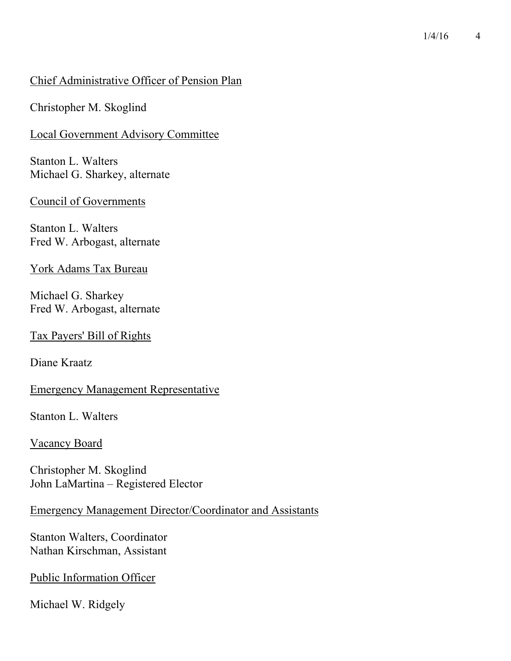#### $1/4/16$  4

### Chief Administrative Officer of Pension Plan

Christopher M. Skoglind

#### Local Government Advisory Committee

Stanton L. Walters Michael G. Sharkey, alternate

#### Council of Governments

Stanton L. Walters Fred W. Arbogast, alternate

York Adams Tax Bureau

Michael G. Sharkey Fred W. Arbogast, alternate

#### Tax Payers' Bill of Rights

Diane Kraatz

### Emergency Management Representative

Stanton L. Walters

### Vacancy Board

Christopher M. Skoglind John LaMartina – Registered Elector

### Emergency Management Director/Coordinator and Assistants

Stanton Walters, Coordinator Nathan Kirschman, Assistant

#### Public Information Officer

Michael W. Ridgely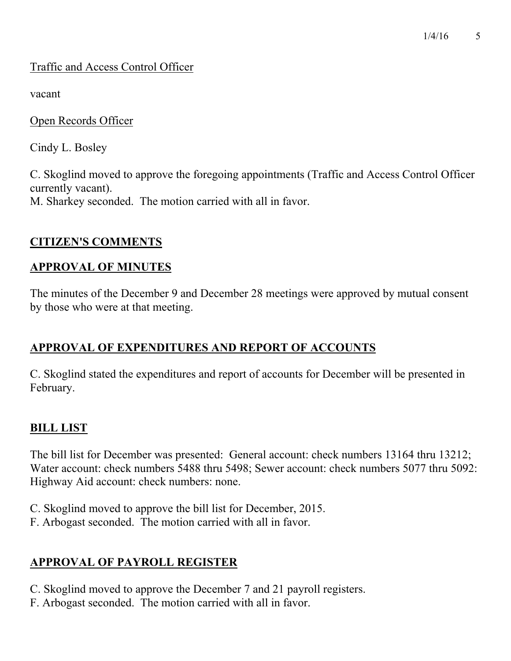# Traffic and Access Control Officer

vacant

Open Records Officer

Cindy L. Bosley

C. Skoglind moved to approve the foregoing appointments (Traffic and Access Control Officer currently vacant). M. Sharkey seconded. The motion carried with all in favor.

# **CITIZEN'S COMMENTS**

# **APPROVAL OF MINUTES**

The minutes of the December 9 and December 28 meetings were approved by mutual consent by those who were at that meeting.

# **APPROVAL OF EXPENDITURES AND REPORT OF ACCOUNTS**

C. Skoglind stated the expenditures and report of accounts for December will be presented in February.

# **BILL LIST**

The bill list for December was presented: General account: check numbers 13164 thru 13212; Water account: check numbers 5488 thru 5498; Sewer account: check numbers 5077 thru 5092: Highway Aid account: check numbers: none.

- C. Skoglind moved to approve the bill list for December, 2015.
- F. Arbogast seconded. The motion carried with all in favor.

# **APPROVAL OF PAYROLL REGISTER**

- C. Skoglind moved to approve the December 7 and 21 payroll registers.
- F. Arbogast seconded. The motion carried with all in favor.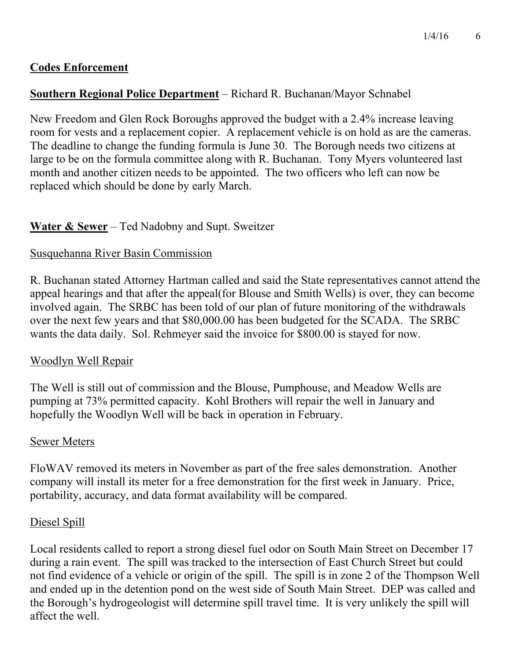# **Codes Enforcement**

### **Southern Regional Police Department** – Richard R. Buchanan/Mayor Schnabel

New Freedom and Glen Rock Boroughs approved the budget with a 2.4% increase leaving room for vests and a replacement copier. A replacement vehicle is on hold as are the cameras. The deadline to change the funding formula is June 30. The Borough needs two citizens at large to be on the formula committee along with R. Buchanan. Tony Myers volunteered last month and another citizen needs to be appointed. The two officers who left can now be replaced which should be done by early March.

### **Water & Sewer** – Ted Nadobny and Supt. Sweitzer

### Susquehanna River Basin Commission

R. Buchanan stated Attorney Hartman called and said the State representatives cannot attend the appeal hearings and that after the appeal(for Blouse and Smith Wells) is over, they can become involved again. The SRBC has been told of our plan of future monitoring of the withdrawals over the next few years and that \$80,000.00 has been budgeted for the SCADA. The SRBC wants the data daily. Sol. Rehmeyer said the invoice for \$800.00 is stayed for now.

### Woodlyn Well Repair

The Well is still out of commission and the Blouse, Pumphouse, and Meadow Wells are pumping at 73% permitted capacity. Kohl Brothers will repair the well in January and hopefully the Woodlyn Well will be back in operation in February.

#### Sewer Meters

FloWAV removed its meters in November as part of the free sales demonstration. Another company will install its meter for a free demonstration for the first week in January. Price, portability, accuracy, and data format availability will be compared.

### Diesel Spill

Local residents called to report a strong diesel fuel odor on South Main Street on December 17 during a rain event. The spill was tracked to the intersection of East Church Street but could not find evidence of a vehicle or origin of the spill. The spill is in zone 2 of the Thompson Well and ended up in the detention pond on the west side of South Main Street. DEP was called and the Borough's hydrogeologist will determine spill travel time. It is very unlikely the spill will affect the well.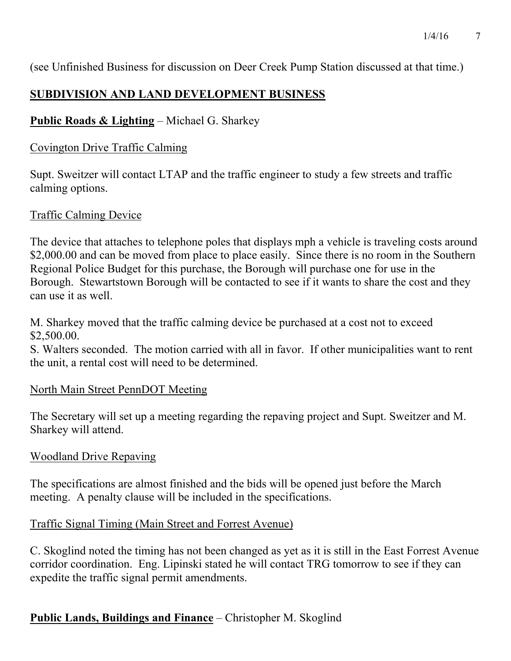(see Unfinished Business for discussion on Deer Creek Pump Station discussed at that time.)

# **SUBDIVISION AND LAND DEVELOPMENT BUSINESS**

# **Public Roads & Lighting** – Michael G. Sharkey

# Covington Drive Traffic Calming

Supt. Sweitzer will contact LTAP and the traffic engineer to study a few streets and traffic calming options.

# Traffic Calming Device

The device that attaches to telephone poles that displays mph a vehicle is traveling costs around \$2,000.00 and can be moved from place to place easily. Since there is no room in the Southern Regional Police Budget for this purchase, the Borough will purchase one for use in the Borough. Stewartstown Borough will be contacted to see if it wants to share the cost and they can use it as well.

M. Sharkey moved that the traffic calming device be purchased at a cost not to exceed \$2,500.00.

S. Walters seconded. The motion carried with all in favor. If other municipalities want to rent the unit, a rental cost will need to be determined.

# North Main Street PennDOT Meeting

The Secretary will set up a meeting regarding the repaving project and Supt. Sweitzer and M. Sharkey will attend.

# Woodland Drive Repaving

The specifications are almost finished and the bids will be opened just before the March meeting. A penalty clause will be included in the specifications.

# Traffic Signal Timing (Main Street and Forrest Avenue)

C. Skoglind noted the timing has not been changed as yet as it is still in the East Forrest Avenue corridor coordination. Eng. Lipinski stated he will contact TRG tomorrow to see if they can expedite the traffic signal permit amendments.

# **Public Lands, Buildings and Finance** – Christopher M. Skoglind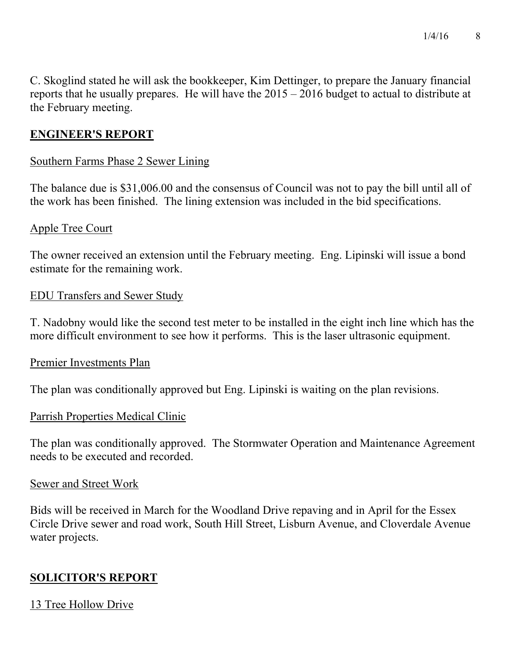C. Skoglind stated he will ask the bookkeeper, Kim Dettinger, to prepare the January financial reports that he usually prepares. He will have the 2015 – 2016 budget to actual to distribute at the February meeting.

# **ENGINEER'S REPORT**

### Southern Farms Phase 2 Sewer Lining

The balance due is \$31,006.00 and the consensus of Council was not to pay the bill until all of the work has been finished. The lining extension was included in the bid specifications.

### Apple Tree Court

The owner received an extension until the February meeting. Eng. Lipinski will issue a bond estimate for the remaining work.

### EDU Transfers and Sewer Study

T. Nadobny would like the second test meter to be installed in the eight inch line which has the more difficult environment to see how it performs. This is the laser ultrasonic equipment.

#### Premier Investments Plan

The plan was conditionally approved but Eng. Lipinski is waiting on the plan revisions.

### Parrish Properties Medical Clinic

The plan was conditionally approved. The Stormwater Operation and Maintenance Agreement needs to be executed and recorded.

#### Sewer and Street Work

Bids will be received in March for the Woodland Drive repaving and in April for the Essex Circle Drive sewer and road work, South Hill Street, Lisburn Avenue, and Cloverdale Avenue water projects.

# **SOLICITOR'S REPORT**

# 13 Tree Hollow Drive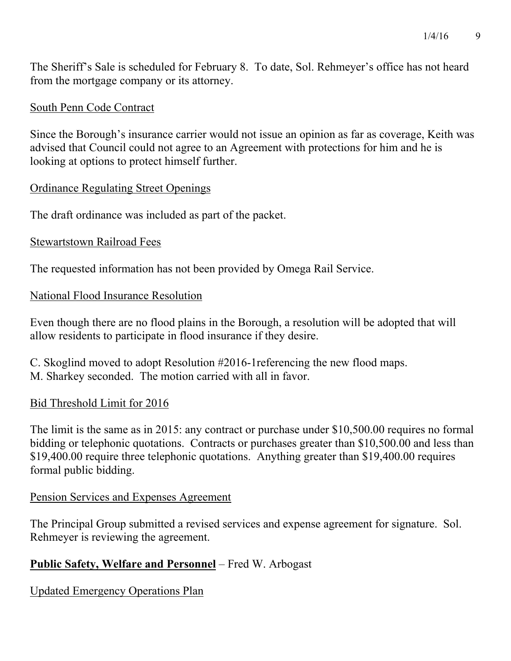The Sheriff's Sale is scheduled for February 8. To date, Sol. Rehmeyer's office has not heard from the mortgage company or its attorney.

### South Penn Code Contract

Since the Borough's insurance carrier would not issue an opinion as far as coverage, Keith was advised that Council could not agree to an Agreement with protections for him and he is looking at options to protect himself further.

### Ordinance Regulating Street Openings

The draft ordinance was included as part of the packet.

### Stewartstown Railroad Fees

The requested information has not been provided by Omega Rail Service.

### National Flood Insurance Resolution

Even though there are no flood plains in the Borough, a resolution will be adopted that will allow residents to participate in flood insurance if they desire.

C. Skoglind moved to adopt Resolution #2016-1referencing the new flood maps. M. Sharkey seconded. The motion carried with all in favor.

### Bid Threshold Limit for 2016

The limit is the same as in 2015: any contract or purchase under \$10,500.00 requires no formal bidding or telephonic quotations. Contracts or purchases greater than \$10,500.00 and less than \$19,400.00 require three telephonic quotations. Anything greater than \$19,400.00 requires formal public bidding.

#### Pension Services and Expenses Agreement

The Principal Group submitted a revised services and expense agreement for signature. Sol. Rehmeyer is reviewing the agreement.

# **Public Safety, Welfare and Personnel** – Fred W. Arbogast

Updated Emergency Operations Plan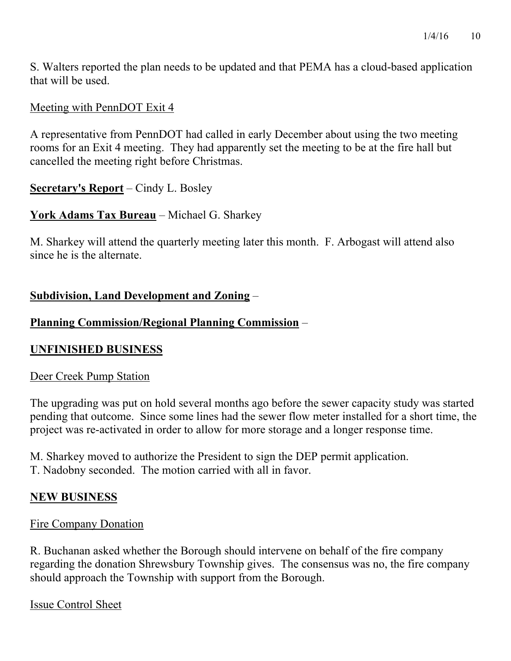S. Walters reported the plan needs to be updated and that PEMA has a cloud-based application that will be used.

# Meeting with PennDOT Exit 4

A representative from PennDOT had called in early December about using the two meeting rooms for an Exit 4 meeting. They had apparently set the meeting to be at the fire hall but cancelled the meeting right before Christmas.

# **Secretary's Report** – Cindy L. Bosley

# **York Adams Tax Bureau** – Michael G. Sharkey

M. Sharkey will attend the quarterly meeting later this month. F. Arbogast will attend also since he is the alternate.

# **Subdivision, Land Development and Zoning** –

# **Planning Commission/Regional Planning Commission** –

### **UNFINISHED BUSINESS**

### Deer Creek Pump Station

The upgrading was put on hold several months ago before the sewer capacity study was started pending that outcome. Since some lines had the sewer flow meter installed for a short time, the project was re-activated in order to allow for more storage and a longer response time.

M. Sharkey moved to authorize the President to sign the DEP permit application. T. Nadobny seconded. The motion carried with all in favor.

# **NEW BUSINESS**

### Fire Company Donation

R. Buchanan asked whether the Borough should intervene on behalf of the fire company regarding the donation Shrewsbury Township gives. The consensus was no, the fire company should approach the Township with support from the Borough.

Issue Control Sheet